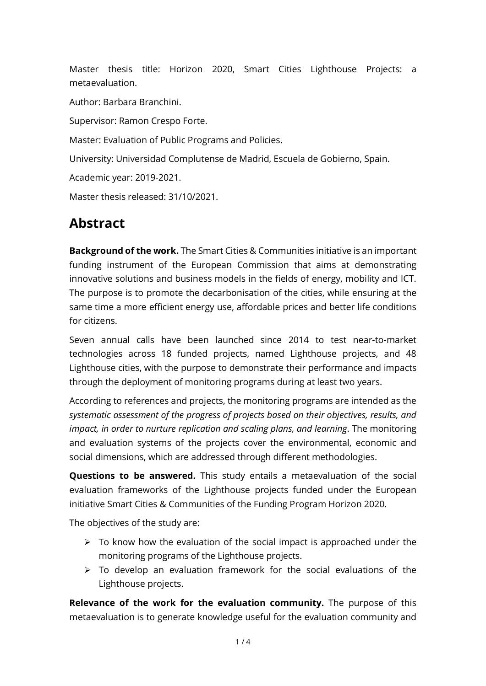Master thesis title: Horizon 2020, Smart Cities Lighthouse Projects: a metaevaluation.

Author: Barbara Branchini.

Supervisor: Ramon Crespo Forte.

Master: Evaluation of Public Programs and Policies.

University: Universidad Complutense de Madrid, Escuela de Gobierno, Spain.

Academic year: 2019-2021.

Master thesis released: 31/10/2021.

## **Abstract**

**Background of the work.** The Smart Cities & Communities initiative is an important funding instrument of the European Commission that aims at demonstrating innovative solutions and business models in the fields of energy, mobility and ICT. The purpose is to promote the decarbonisation of the cities, while ensuring at the same time a more efficient energy use, affordable prices and better life conditions for citizens.

Seven annual calls have been launched since 2014 to test near-to-market technologies across 18 funded projects, named Lighthouse projects, and 48 Lighthouse cities, with the purpose to demonstrate their performance and impacts through the deployment of monitoring programs during at least two years.

According to references and projects, the monitoring programs are intended as the *systematic assessment of the progress of projects based on their objectives, results, and impact, in order to nurture replication and scaling plans, and learning*. The monitoring and evaluation systems of the projects cover the environmental, economic and social dimensions, which are addressed through different methodologies.

**Questions to be answered.** This study entails a metaevaluation of the social evaluation frameworks of the Lighthouse projects funded under the European initiative Smart Cities & Communities of the Funding Program Horizon 2020.

The objectives of the study are:

- $\triangleright$  To know how the evaluation of the social impact is approached under the monitoring programs of the Lighthouse projects.
- $\triangleright$  To develop an evaluation framework for the social evaluations of the Lighthouse projects.

**Relevance of the work for the evaluation community.** The purpose of this metaevaluation is to generate knowledge useful for the evaluation community and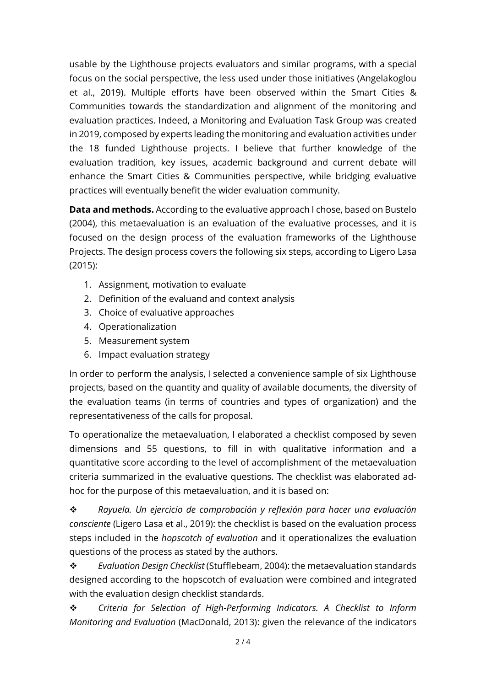usable by the Lighthouse projects evaluators and similar programs, with a special focus on the social perspective, the less used under those initiatives (Angelakoglou et al., 2019). Multiple efforts have been observed within the Smart Cities & Communities towards the standardization and alignment of the monitoring and evaluation practices. Indeed, a Monitoring and Evaluation Task Group was created in 2019, composed by experts leading the monitoring and evaluation activities under the 18 funded Lighthouse projects. I believe that further knowledge of the evaluation tradition, key issues, academic background and current debate will enhance the Smart Cities & Communities perspective, while bridging evaluative practices will eventually benefit the wider evaluation community.

**Data and methods.** According to the evaluative approach I chose, based on Bustelo (2004), this metaevaluation is an evaluation of the evaluative processes, and it is focused on the design process of the evaluation frameworks of the Lighthouse Projects. The design process covers the following six steps, according to Ligero Lasa (2015):

- 1. Assignment, motivation to evaluate
- 2. Definition of the evaluand and context analysis
- 3. Choice of evaluative approaches
- 4. Operationalization
- 5. Measurement system
- 6. Impact evaluation strategy

In order to perform the analysis, I selected a convenience sample of six Lighthouse projects, based on the quantity and quality of available documents, the diversity of the evaluation teams (in terms of countries and types of organization) and the representativeness of the calls for proposal.

To operationalize the metaevaluation, I elaborated a checklist composed by seven dimensions and 55 questions, to fill in with qualitative information and a quantitative score according to the level of accomplishment of the metaevaluation criteria summarized in the evaluative questions. The checklist was elaborated adhoc for the purpose of this metaevaluation, and it is based on:

 *Rayuela. Un ejercicio de comprobación y reflexión para hacer una evaluación consciente* (Ligero Lasa et al., 2019): the checklist is based on the evaluation process steps included in the *hopscotch of evaluation* and it operationalizes the evaluation questions of the process as stated by the authors.

 *Evaluation Design Checklist* (Stufflebeam, 2004): the metaevaluation standards designed according to the hopscotch of evaluation were combined and integrated with the evaluation design checklist standards.

 *Criteria for Selection of High-Performing Indicators. A Checklist to Inform Monitoring and Evaluation* (MacDonald, 2013): given the relevance of the indicators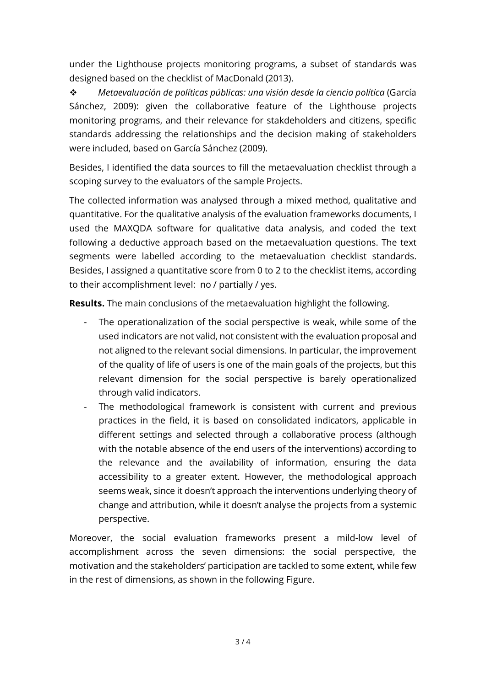under the Lighthouse projects monitoring programs, a subset of standards was designed based on the checklist of MacDonald (2013).

 *Metaevaluación de políticas públicas: una visión desde la ciencia política* (García Sánchez, 2009): given the collaborative feature of the Lighthouse projects monitoring programs, and their relevance for stakdeholders and citizens, specific standards addressing the relationships and the decision making of stakeholders were included, based on García Sánchez (2009).

Besides, I identified the data sources to fill the metaevaluation checklist through a scoping survey to the evaluators of the sample Projects.

The collected information was analysed through a mixed method, qualitative and quantitative. For the qualitative analysis of the evaluation frameworks documents, I used the MAXQDA software for qualitative data analysis, and coded the text following a deductive approach based on the metaevaluation questions. The text segments were labelled according to the metaevaluation checklist standards. Besides, I assigned a quantitative score from 0 to 2 to the checklist items, according to their accomplishment level: no / partially / yes.

**Results.** The main conclusions of the metaevaluation highlight the following.

- The operationalization of the social perspective is weak, while some of the used indicators are not valid, not consistent with the evaluation proposal and not aligned to the relevant social dimensions. In particular, the improvement of the quality of life of users is one of the main goals of the projects, but this relevant dimension for the social perspective is barely operationalized through valid indicators.
- The methodological framework is consistent with current and previous practices in the field, it is based on consolidated indicators, applicable in different settings and selected through a collaborative process (although with the notable absence of the end users of the interventions) according to the relevance and the availability of information, ensuring the data accessibility to a greater extent. However, the methodological approach seems weak, since it doesn't approach the interventions underlying theory of change and attribution, while it doesn't analyse the projects from a systemic perspective.

Moreover, the social evaluation frameworks present a mild-low level of accomplishment across the seven dimensions: the social perspective, the motivation and the stakeholders' participation are tackled to some extent, while few in the rest of dimensions, as shown in the following Figure.